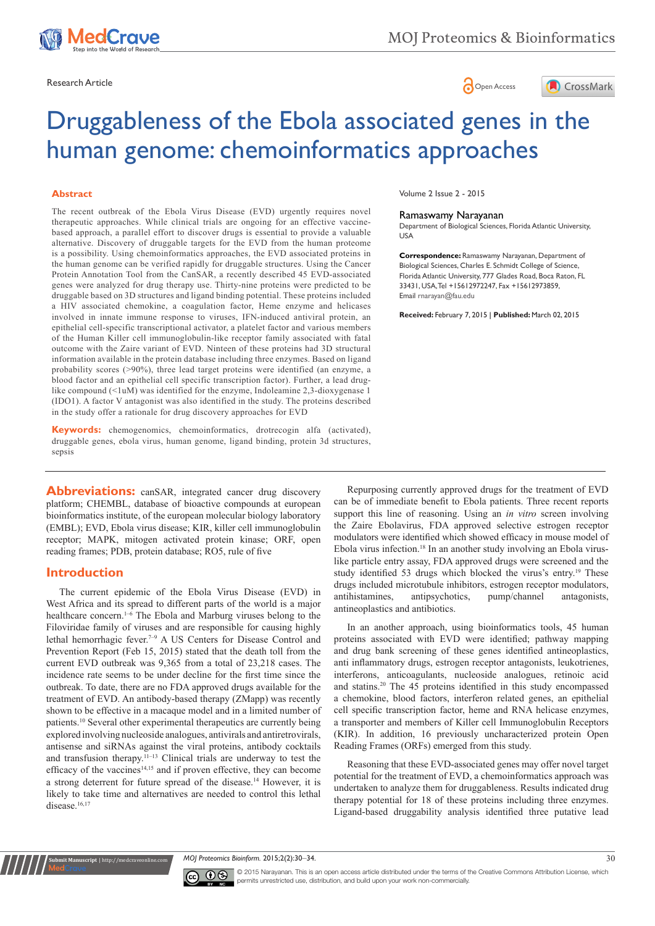





# Druggableness of the Ebola associated genes in the human genome: chemoinformatics approaches

#### **Abstract**

The recent outbreak of the Ebola Virus Disease (EVD) urgently requires novel therapeutic approaches. While clinical trials are ongoing for an effective vaccinebased approach, a parallel effort to discover drugs is essential to provide a valuable alternative. Discovery of druggable targets for the EVD from the human proteome is a possibility. Using chemoinformatics approaches, the EVD associated proteins in the human genome can be verified rapidly for druggable structures. Using the Cancer Protein Annotation Tool from the CanSAR, a recently described 45 EVD-associated genes were analyzed for drug therapy use. Thirty-nine proteins were predicted to be druggable based on 3D structures and ligand binding potential. These proteins included a HIV associated chemokine, a coagulation factor, Heme enzyme and helicases involved in innate immune response to viruses, IFN-induced antiviral protein, an epithelial cell-specific transcriptional activator, a platelet factor and various members of the Human Killer cell immunoglobulin-like receptor family associated with fatal outcome with the Zaire variant of EVD. Ninteen of these proteins had 3D structural information available in the protein database including three enzymes. Based on ligand probability scores (>90%), three lead target proteins were identified (an enzyme, a blood factor and an epithelial cell specific transcription factor). Further, a lead druglike compound (<1uM) was identified for the enzyme, Indoleamine 2,3-dioxygenase 1 (IDO1). A factor V antagonist was also identified in the study. The proteins described in the study offer a rationale for drug discovery approaches for EVD

**Keywords:** chemogenomics, chemoinformatics, drotrecogin alfa (activated), druggable genes, ebola virus, human genome, ligand binding, protein 3d structures, sepsis

**Abbreviations:** canSAR, integrated cancer drug discovery platform; CHEMBL, database of bioactive compounds at european bioinformatics institute, of the european molecular biology laboratory (EMBL); EVD, Ebola virus disease; KIR, killer cell immunoglobulin receptor; MAPK, mitogen activated protein kinase; ORF, open reading frames; PDB, protein database; RO5, rule of five

#### **Introduction**

**nit Manuscript** | http://medcraveo

The current epidemic of the Ebola Virus Disease (EVD) in West Africa and its spread to different parts of the world is a major healthcare concern.<sup>1-6</sup> The Ebola and Marburg viruses belong to the Filoviridae family of viruses and are responsible for causing highly lethal hemorrhagic fever.7–9 A US Centers for Disease Control and Prevention Report (Feb 15, 2015) stated that the death toll from the current EVD outbreak was 9,365 from a total of 23,218 cases. The incidence rate seems to be under decline for the first time since the outbreak. To date, there are no FDA approved drugs available for the treatment of EVD. An antibody-based therapy (ZMapp) was recently shown to be effective in a macaque model and in a limited number of patients.10 Several other experimental therapeutics are currently being explored involving nucleoside analogues, antivirals and antiretrovirals, antisense and siRNAs against the viral proteins, antibody cocktails and transfusion therapy.<sup>11-13</sup> Clinical trials are underway to test the efficacy of the vaccines<sup>14,15</sup> and if proven effective, they can become a strong deterrent for future spread of the disease.14 However, it is likely to take time and alternatives are needed to control this lethal disease.<sup>16,17</sup>

Volume 2 Issue 2 - 2015

#### Ramaswamy Narayanan

Department of Biological Sciences, Florida Atlantic University, USA

**Correspondence:** Ramaswamy Narayanan, Department of Biological Sciences, Charles E. Schmidt College of Science, Florida Atlantic University, 777 Glades Road, Boca Raton, FL 33431, USA, Tel +15612972247, Fax +15612973859, Email rnarayan@fau.edu

**Received:** February 7, 2015 | **Published:** March 02, 2015

Repurposing currently approved drugs for the treatment of EVD can be of immediate benefit to Ebola patients. Three recent reports support this line of reasoning. Using an *in vitro* screen involving the Zaire Ebolavirus, FDA approved selective estrogen receptor modulators were identified which showed efficacy in mouse model of Ebola virus infection.18 In an another study involving an Ebola viruslike particle entry assay, FDA approved drugs were screened and the study identified 53 drugs which blocked the virus's entry.<sup>19</sup> These drugs included microtubule inhibitors, estrogen receptor modulators, antihistamines, antipsychotics, pump/channel antagonists, antineoplastics and antibiotics.

In an another approach, using bioinformatics tools, 45 human proteins associated with EVD were identified; pathway mapping and drug bank screening of these genes identified antineoplastics, anti inflammatory drugs, estrogen receptor antagonists, leukotrienes, interferons, anticoagulants, nucleoside analogues, retinoic acid and statins.20 The 45 proteins identified in this study encompassed a chemokine, blood factors, interferon related genes, an epithelial cell specific transcription factor, heme and RNA helicase enzymes, a transporter and members of Killer cell Immunoglobulin Receptors (KIR). In addition, 16 previously uncharacterized protein Open Reading Frames (ORFs) emerged from this study.

Reasoning that these EVD-associated genes may offer novel target potential for the treatment of EVD, a chemoinformatics approach was undertaken to analyze them for druggableness. Results indicated drug therapy potential for 18 of these proteins including three enzymes. Ligand-based druggability analysis identified three putative lead

*MOJ Proteomics Bioinform.* 2015;2(2):30‒34. 30



© 2015 Narayanan. This is an open access article distributed under the terms of the [Creative Commons Attribution License,](https://creativecommons.org/licenses/by-nc/4.0/) which permits unrestricted use, distribution, and build upon your work non-commercially.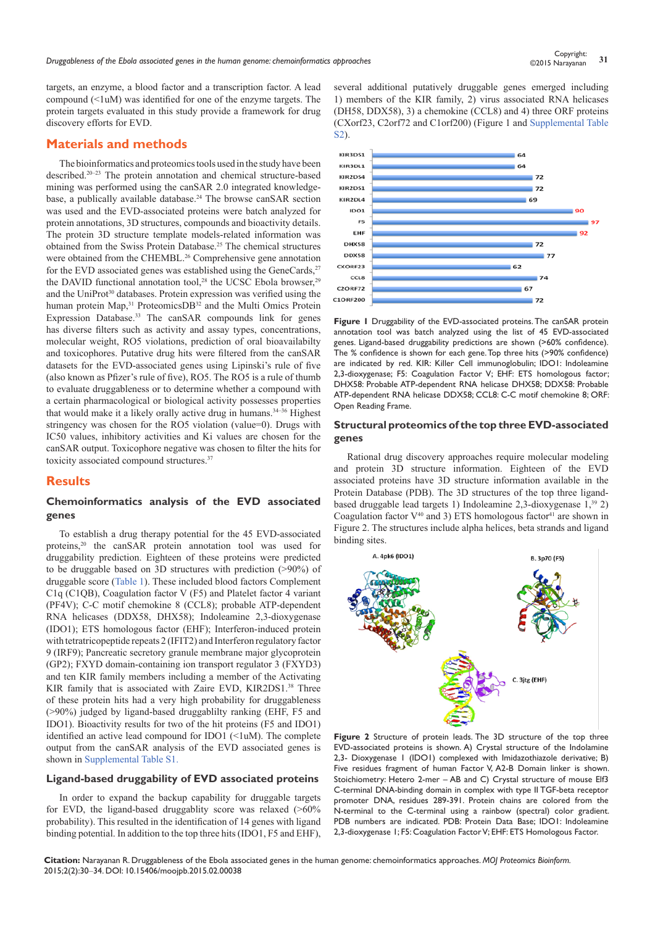*Druggableness of the Ebola associated genes in the human genome: chemoinformatics approaches* **<sup>31</sup>** Copyright:

targets, an enzyme, a blood factor and a transcription factor. A lead compound  $(\leq1$ uM) was identified for one of the enzyme targets. The protein targets evaluated in this study provide a framework for drug discovery efforts for EVD.

## **Materials and methods**

The bioinformatics and proteomics tools used in the study have been described.20–23 The protein annotation and chemical structure-based mining was performed using the canSAR 2.0 integrated knowledgebase, a publically available database.<sup>24</sup> The browse canSAR section was used and the EVD-associated proteins were batch analyzed for protein annotations, 3D structures, compounds and bioactivity details. The protein 3D structure template models-related information was obtained from the Swiss Protein Database.25 The chemical structures were obtained from the CHEMBL.<sup>26</sup> Comprehensive gene annotation for the EVD associated genes was established using the GeneCards,<sup>27</sup> the DAVID functional annotation tool,<sup>28</sup> the UCSC Ebola browser,<sup>29</sup> and the UniProt<sup>30</sup> databases. Protein expression was verified using the human protein Map,<sup>31</sup> ProteomicsDB<sup>32</sup> and the Multi Omics Protein Expression Database.<sup>33</sup> The canSAR compounds link for genes has diverse filters such as activity and assay types, concentrations, molecular weight, RO5 violations, prediction of oral bioavailabilty and toxicophores. Putative drug hits were filtered from the canSAR datasets for the EVD-associated genes using Lipinski's rule of five (also known as Pfizer's rule of five), RO5. The RO5 is a rule of thumb to evaluate druggableness or to determine whether a compound with a certain pharmacological or biological activity possesses properties that would make it a likely orally active drug in humans.<sup>34-36</sup> Highest stringency was chosen for the RO5 violation (value=0). Drugs with IC50 values, inhibitory activities and Ki values are chosen for the canSAR output. Toxicophore negative was chosen to filter the hits for toxicity associated compound structures.<sup>37</sup>

## **Results**

#### **Chemoinformatics analysis of the EVD associated genes**

To establish a drug therapy potential for the 45 EVD-associated proteins,20 the canSAR protein annotation tool was used for druggability prediction. Eighteen of these proteins were predicted to be druggable based on 3D structures with prediction (>90%) of druggable score ([Table 1](https://medcraveonline.com/MOJPB/MOJPB-02-00038t.zip)). These included blood factors Complement C1q (C1QB), Coagulation factor V (F5) and Platelet factor 4 variant (PF4V); C-C motif chemokine 8 (CCL8); probable ATP-dependent RNA helicases (DDX58, DHX58); Indoleamine 2,3-dioxygenase (IDO1); ETS homologous factor (EHF); Interferon-induced protein with tetratricopeptide repeats 2 (IFIT2) and Interferon regulatory factor 9 (IRF9); Pancreatic secretory granule membrane major glycoprotein (GP2); FXYD domain-containing ion transport regulator 3 (FXYD3) and ten KIR family members including a member of the Activating KIR family that is associated with Zaire EVD, KIR2DS1.<sup>38</sup> Three of these protein hits had a very high probability for druggableness (>90%) judged by ligand-based druggablilty ranking (EHF, F5 and IDO1). Bioactivity results for two of the hit proteins (F5 and IDO1) identified an active lead compound for IDO1  $(\leq l$ uM). The complete output from the canSAR analysis of the EVD associated genes is shown in [Supplemental Table S1](https://medcraveonline.com/MOJPB/MOJPB-02-00038s.zip).

#### **Ligand-based druggability of EVD associated proteins**

In order to expand the backup capability for druggable targets for EVD, the ligand-based druggablity score was relaxed (>60% probability). This resulted in the identification of 14 genes with ligand binding potential. In addition to the top three hits (IDO1, F5 and EHF),

several additional putatively druggable genes emerged including 1) members of the KIR family, 2) virus associated RNA helicases (DH58, DDX58), 3) a chemokine (CCL8) and 4) three ORF proteins (CXorf23, C2orf72 and C1orf200) (Figure 1 and [Supplemental Table](https://medcraveonline.com/MOJPB/MOJPB-02-00038s.zip)  [S2](https://medcraveonline.com/MOJPB/MOJPB-02-00038s.zip)).



**Figure 1** Druggability of the EVD-associated proteins. The canSAR protein annotation tool was batch analyzed using the list of 45 EVD-associated genes. Ligand-based druggability predictions are shown (>60% confidence). The % confidence is shown for each gene. Top three hits (>90% confidence) are indicated by red. KIR: Killer Cell immunoglobulin; IDO1: Indoleamine 2,3-dioxygenase; F5: Coagulation Factor V; EHF: ETS homologous factor; DHX58: Probable ATP-dependent RNA helicase DHX58; DDX58: Probable ATP-dependent RNA helicase DDX58; CCL8: C-C motif chemokine 8; ORF: Open Reading Frame.

#### **Structural proteomics of the top three EVD-associated genes**

Rational drug discovery approaches require molecular modeling and protein 3D structure information. Eighteen of the EVD associated proteins have 3D structure information available in the Protein Database (PDB). The 3D structures of the top three ligandbased druggable lead targets 1) Indoleamine 2,3-dioxygenase 1,39 2) Coagulation factor  $V^{40}$  and 3) ETS homologous factor<sup>41</sup> are shown in Figure 2. The structures include alpha helices, beta strands and ligand binding sites.



**Figure 2** Structure of protein leads. The 3D structure of the top three EVD-associated proteins is shown. A) Crystal structure of the Indolamine 2,3- Dioxygenase 1 (IDO1) complexed with Imidazothiazole derivative; B) Five residues fragment of human Factor V, A2-B Domain linker is shown. Stoichiometry: Hetero 2-mer – AB and C) Crystal structure of mouse Elf3 C-terminal DNA-binding domain in complex with type II TGF-beta receptor promoter DNA, residues 289-391. Protein chains are colored from the N-terminal to the C-terminal using a rainbow (spectral) color gradient. PDB numbers are indicated. PDB: Protein Data Base; IDO1: Indoleamine 2,3-dioxygenase 1; F5: Coagulation Factor V; EHF: ETS Homologous Factor.

**Citation:** Narayanan R. Druggableness of the Ebola associated genes in the human genome: chemoinformatics approaches. *MOJ Proteomics Bioinform.* 2015;2(2):30‒34. DOI: [10.15406/moojpb.2015.02.00038](https://doi.org/10.15406/mojpb.2015.02.00038)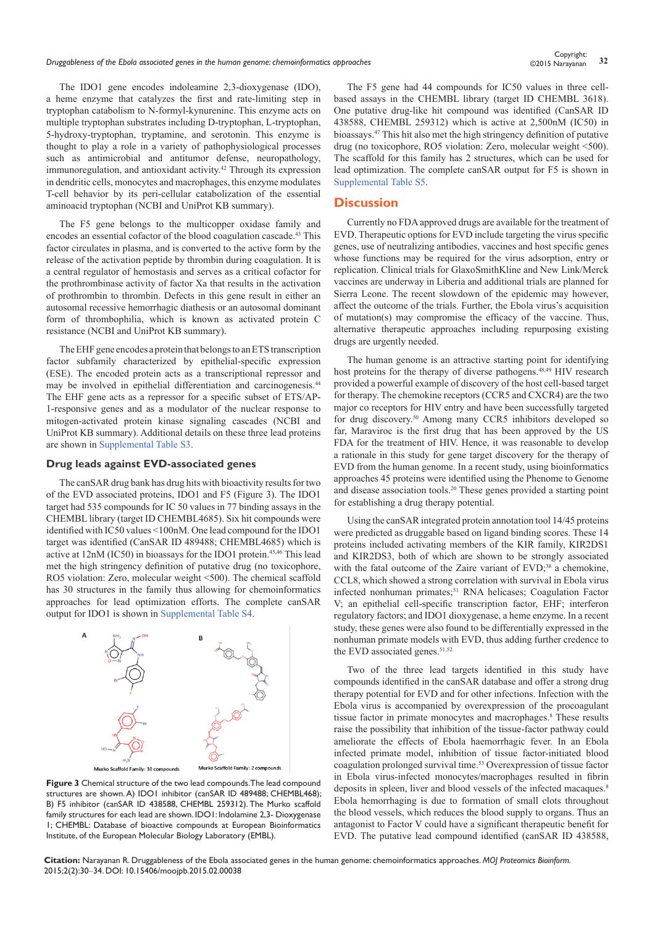The IDO1 gene encodes indoleamine 2,3-dioxygenase (IDO), a heme enzyme that catalyzes the first and rate-limiting step in tryptophan catabolism to N-formyl-kynurenine. This enzyme acts on multiple tryptophan substrates including D-tryptophan, L-tryptophan, 5-hydroxy-tryptophan, tryptamine, and serotonin. This enzyme is thought to play a role in a variety of pathophysiological processes such as antimicrobial and antitumor defense, neuropathology, immunoregulation, and antioxidant activity.42 Through its expression in dendritic cells, monocytes and macrophages, this enzyme modulates T-cell behavior by its peri-cellular catabolization of the essential aminoacid tryptophan (NCBI and UniProt KB summary).

The F5 gene belongs to the multicopper oxidase family and encodes an essential cofactor of the blood coagulation cascade.43 This factor circulates in plasma, and is converted to the active form by the release of the activation peptide by thrombin during coagulation. It is a central regulator of hemostasis and serves as a critical cofactor for the prothrombinase activity of factor Xa that results in the activation of prothrombin to thrombin. Defects in this gene result in either an autosomal recessive hemorrhagic diathesis or an autosomal dominant form of thrombophilia, which is known as activated protein C resistance (NCBI and UniProt KB summary).

The EHF gene encodes a protein that belongs to an ETS transcription factor subfamily characterized by epithelial-specific expression (ESE). The encoded protein acts as a transcriptional repressor and may be involved in epithelial differentiation and carcinogenesis.<sup>44</sup> The EHF gene acts as a repressor for a specific subset of ETS/AP-1-responsive genes and as a modulator of the nuclear response to mitogen-activated protein kinase signaling cascades (NCBI and UniProt KB summary). Additional details on these three lead proteins are shown in [Supplemental Table S3](https://medcraveonline.com/MOJPB/MOJPB-02-00038s.zip).

#### **Drug leads against EVD-associated genes**

The canSAR drug bank has drug hits with bioactivity results for two of the EVD associated proteins, IDO1 and F5 (Figure 3). The IDO1 target had 535 compounds for IC 50 values in 77 binding assays in the CHEMBL library (target ID CHEMBL4685). Six hit compounds were identified with IC50 values <100nM. One lead compound for the IDO1 target was identified (CanSAR ID 489488; CHEMBL4685) which is active at 12nM (IC50) in bioassays for the IDO1 protein.45,46 This lead met the high stringency definition of putative drug (no toxicophore, RO5 violation: Zero, molecular weight <500). The chemical scaffold has 30 structures in the family thus allowing for chemoinformatics approaches for lead optimization efforts. The complete canSAR output for IDO1 is shown in [Supplemental Table S4](https://medcraveonline.com/MOJPB/MOJPB-02-00038s.zip).



Murko Scaffold Family: 2 comp Murko Scaffold Family: 30 compounds

**Figure 3** Chemical structure of the two lead compounds. The lead compound structures are shown. A) IDO1 inhibitor (canSAR ID 489488; CHEMBL468); B) F5 inhibitor (canSAR ID 438588, CHEMBL 259312). The Murko scaffold family structures for each lead are shown. IDO1: Indolamine 2,3- Dioxygenase 1; CHEMBL: Database of bioactive compounds at European Bioinformatics Institute, of the European Molecular Biology Laboratory (EMBL).

The F5 gene had 44 compounds for IC50 values in three cellbased assays in the CHEMBL library (target ID CHEMBL 3618). One putative drug-like hit compound was identified (CanSAR ID 438588, CHEMBL 259312) which is active at 2,500nM (IC50) in bioassays.47 This hit also met the high stringency definition of putative drug (no toxicophore, RO5 violation: Zero, molecular weight <500). The scaffold for this family has 2 structures, which can be used for lead optimization. The complete canSAR output for F5 is shown in [Supplemental Table S5.](https://medcraveonline.com/MOJPB/MOJPB-02-00038s.zip)

#### **Discussion**

Currently no FDA approved drugs are available for the treatment of EVD. Therapeutic options for EVD include targeting the virus specific genes, use of neutralizing antibodies, vaccines and host specific genes whose functions may be required for the virus adsorption, entry or replication. Clinical trials for GlaxoSmithKline and New Link/Merck vaccines are underway in Liberia and additional trials are planned for Sierra Leone. The recent slowdown of the epidemic may however, affect the outcome of the trials. Further, the Ebola virus's acquisition of mutation(s) may compromise the efficacy of the vaccine. Thus, alternative therapeutic approaches including repurposing existing drugs are urgently needed.

The human genome is an attractive starting point for identifying host proteins for the therapy of diverse pathogens.<sup>48,49</sup> HIV research provided a powerful example of discovery of the host cell-based target for therapy. The chemokine receptors (CCR5 and CXCR4) are the two major co receptors for HIV entry and have been successfully targeted for drug discovery.50 Among many CCR5 inhibitors developed so far, Maraviroc is the first drug that has been approved by the US FDA for the treatment of HIV. Hence, it was reasonable to develop a rationale in this study for gene target discovery for the therapy of EVD from the human genome. In a recent study, using bioinformatics approaches 45 proteins were identified using the Phenome to Genome and disease association tools.20 These genes provided a starting point for establishing a drug therapy potential.

Using the canSAR integrated protein annotation tool 14/45 proteins were predicted as druggable based on ligand binding scores. These 14 proteins included activating members of the KIR family, KIR2DS1 and KIR2DS3, both of which are shown to be strongly associated with the fatal outcome of the Zaire variant of EVD;<sup>38</sup> a chemokine, CCL8, which showed a strong correlation with survival in Ebola virus infected nonhuman primates;<sup>51</sup> RNA helicases; Coagulation Factor V; an epithelial cell-specific transcription factor, EHF; interferon regulatory factors; and IDO1 dioxygenase, a heme enzyme. In a recent study, these genes were also found to be differentially expressed in the nonhuman primate models with EVD, thus adding further credence to the EVD associated genes.<sup>51,52</sup>

Two of the three lead targets identified in this study have compounds identified in the canSAR database and offer a strong drug therapy potential for EVD and for other infections. Infection with the Ebola virus is accompanied by overexpression of the procoagulant tissue factor in primate monocytes and macrophages.<sup>8</sup> These results raise the possibility that inhibition of the tissue-factor pathway could ameliorate the effects of Ebola haemorrhagic fever. In an Ebola infected primate model, inhibition of tissue factor-initiated blood coagulation prolonged survival time.53 Overexpression of tissue factor in Ebola virus-infected monocytes/macrophages resulted in fibrin deposits in spleen, liver and blood vessels of the infected macaques.<sup>8</sup> Ebola hemorrhaging is due to formation of small clots throughout the blood vessels, which reduces the blood supply to organs. Thus an antagonist to Factor V could have a significant therapeutic benefit for EVD. The putative lead compound identified (canSAR ID 438588,

*Druggableness of the Ebola associated genes in the human genome: chemoinformatics approaches* **<sup>32</sup>** Copyright:

©2015 Narayanan

**Citation:** Narayanan R. Druggableness of the Ebola associated genes in the human genome: chemoinformatics approaches. *MOJ Proteomics Bioinform.* 2015;2(2):30‒34. DOI: [10.15406/moojpb.2015.02.00038](https://doi.org/10.15406/mojpb.2015.02.00038)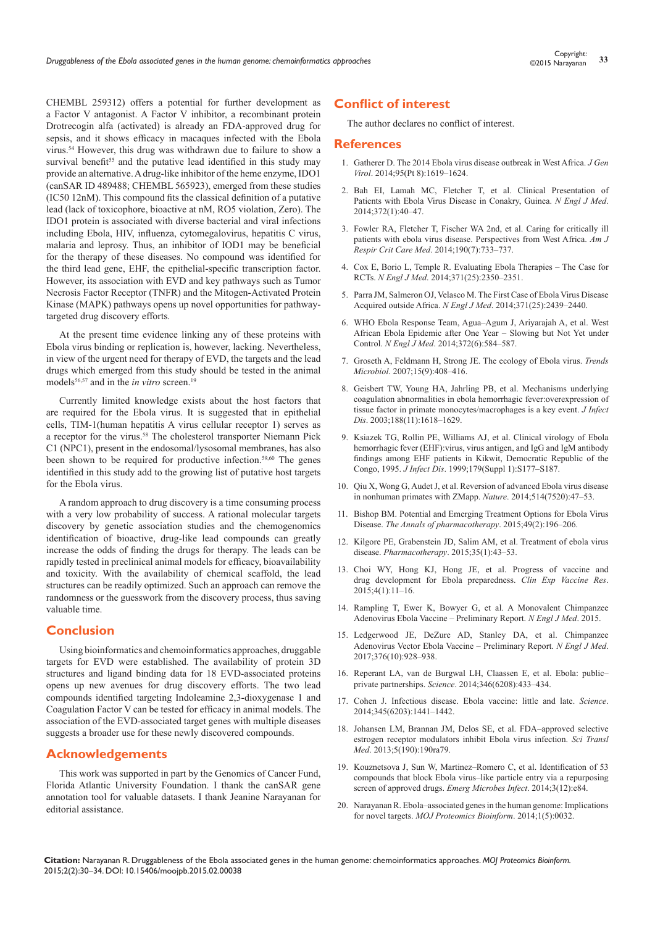CHEMBL 259312) offers a potential for further development as a Factor V antagonist. A Factor V inhibitor, a recombinant protein Drotrecogin alfa (activated) is already an FDA-approved drug for sepsis, and it shows efficacy in macaques infected with the Ebola virus.54 However, this drug was withdrawn due to failure to show a survival benefit<sup>55</sup> and the putative lead identified in this study may provide an alternative. A drug-like inhibitor of the heme enzyme, IDO1 (canSAR ID 489488; CHEMBL 565923), emerged from these studies (IC50 12nM). This compound fits the classical definition of a putative lead (lack of toxicophore, bioactive at nM, RO5 violation, Zero). The IDO1 protein is associated with diverse bacterial and viral infections including Ebola, HIV, influenza, cytomegalovirus, hepatitis C virus, malaria and leprosy. Thus, an inhibitor of IOD1 may be beneficial for the therapy of these diseases. No compound was identified for the third lead gene, EHF, the epithelial-specific transcription factor. However, its association with EVD and key pathways such as Tumor Necrosis Factor Receptor (TNFR) and the Mitogen-Activated Protein Kinase (MAPK) pathways opens up novel opportunities for pathwaytargeted drug discovery efforts.

At the present time evidence linking any of these proteins with Ebola virus binding or replication is, however, lacking. Nevertheless, in view of the urgent need for therapy of EVD, the targets and the lead drugs which emerged from this study should be tested in the animal models<sup>56,57</sup> and in the *in vitro* screen.<sup>19</sup>

Currently limited knowledge exists about the host factors that are required for the Ebola virus. It is suggested that in epithelial cells, TIM-1(human hepatitis A virus cellular receptor 1) serves as a receptor for the virus.58 The cholesterol transporter Niemann Pick C1 (NPC1), present in the endosomal/lysosomal membranes, has also been shown to be required for productive infection.59,60 The genes identified in this study add to the growing list of putative host targets for the Ebola virus.

A random approach to drug discovery is a time consuming process with a very low probability of success. A rational molecular targets discovery by genetic association studies and the chemogenomics identification of bioactive, drug-like lead compounds can greatly increase the odds of finding the drugs for therapy. The leads can be rapidly tested in preclinical animal models for efficacy, bioavailability and toxicity. With the availability of chemical scaffold, the lead structures can be readily optimized. Such an approach can remove the randomness or the guesswork from the discovery process, thus saving valuable time.

### **Conclusion**

Using bioinformatics and chemoinformatics approaches, druggable targets for EVD were established. The availability of protein 3D structures and ligand binding data for 18 EVD-associated proteins opens up new avenues for drug discovery efforts. The two lead compounds identified targeting Indoleamine 2,3-dioxygenase 1 and Coagulation Factor V can be tested for efficacy in animal models. The association of the EVD-associated target genes with multiple diseases suggests a broader use for these newly discovered compounds.

## **Acknowledgements**

This work was supported in part by the Genomics of Cancer Fund, Florida Atlantic University Foundation. I thank the canSAR gene annotation tool for valuable datasets. I thank Jeanine Narayanan for editorial assistance.

## **Conflict of interest**

The author declares no conflict of interest.

#### **References**

- 1. [Gatherer D. The 2014 Ebola virus disease outbreak in West Africa.](http://www.ncbi.nlm.nih.gov/pubmed/24795448) *J Gen Virol*[. 2014;95\(Pt 8\):1619–1624.](http://www.ncbi.nlm.nih.gov/pubmed/24795448)
- 2. [Bah EI, Lamah MC, Fletcher T, et al. Clinical Presentation of](http://www.ncbi.nlm.nih.gov/pubmed/25372658)  [Patients with Ebola Virus Disease in Conakry, Guinea.](http://www.ncbi.nlm.nih.gov/pubmed/25372658) *N Engl J Med*. [2014;372\(1\):40–47.](http://www.ncbi.nlm.nih.gov/pubmed/25372658)
- 3. [Fowler RA, Fletcher T, Fischer WA 2nd, et al. Caring for critically ill](http://www.ncbi.nlm.nih.gov/pubmed/25166884)  [patients with ebola virus disease. Perspectives from West Africa.](http://www.ncbi.nlm.nih.gov/pubmed/25166884) *Am J Respir Crit Care Med*[. 2014;190\(7\):733–737.](http://www.ncbi.nlm.nih.gov/pubmed/25166884)
- 4. [Cox E, Borio L, Temple R. Evaluating Ebola Therapies The Case for](http://www.ncbi.nlm.nih.gov/pubmed/25470568)  RCTs. *N Engl J Med*[. 2014;371\(25\):2350–2351.](http://www.ncbi.nlm.nih.gov/pubmed/25470568)
- 5. [Parra JM, Salmeron OJ, Velasco M. The First Case of Ebola Virus Disease](http://www.ncbi.nlm.nih.gov/pubmed/25409262)  Acquired outside Africa. *N Engl J Med*[. 2014;371\(25\):2439–2440.](http://www.ncbi.nlm.nih.gov/pubmed/25409262)
- 6. [WHO Ebola Response Team, Agua–Agum J, Ariyarajah A, et al. West](http://www.ncbi.nlm.nih.gov/pubmed/25539446)  [African Ebola Epidemic after One Year – Slowing but Not Yet under](http://www.ncbi.nlm.nih.gov/pubmed/25539446)  Control. *N Engl J Med*[. 2014;372\(6\):584–587.](http://www.ncbi.nlm.nih.gov/pubmed/25539446)
- 7. [Groseth A, Feldmann H, Strong JE. The ecology of Ebola virus.](http://www.ncbi.nlm.nih.gov/pubmed/17698361) *Trends Microbiol*[. 2007;15\(9\):408–416.](http://www.ncbi.nlm.nih.gov/pubmed/17698361)
- 8. [Geisbert TW, Young HA, Jahrling PB, et al. Mechanisms underlying](http://www.ncbi.nlm.nih.gov/pubmed/14639531)  [coagulation abnormalities in ebola hemorrhagic fever:overexpression of](http://www.ncbi.nlm.nih.gov/pubmed/14639531)  [tissue factor in primate monocytes/macrophages is a key event.](http://www.ncbi.nlm.nih.gov/pubmed/14639531) *J Infect Dis*[. 2003;188\(11\):1618–1629.](http://www.ncbi.nlm.nih.gov/pubmed/14639531)
- 9. [Ksiazek TG, Rollin PE, Williams AJ, et al. Clinical virology of Ebola](http://www.ncbi.nlm.nih.gov/pubmed/9988182)  [hemorrhagic fever \(EHF\):virus, virus antigen, and IgG and IgM antibody](http://www.ncbi.nlm.nih.gov/pubmed/9988182)  [findings among EHF patients in Kikwit, Democratic Republic of the](http://www.ncbi.nlm.nih.gov/pubmed/9988182)  Congo, 1995. *J Infect Dis*[. 1999;179\(Suppl 1\):S177–S187.](http://www.ncbi.nlm.nih.gov/pubmed/9988182)
- 10. [Qiu X, Wong G, Audet J, et al. Reversion of advanced Ebola virus disease](http://www.ncbi.nlm.nih.gov/pubmed/25171469)  [in nonhuman primates with ZMapp.](http://www.ncbi.nlm.nih.gov/pubmed/25171469) *Nature*. 2014;514(7520):47–53.
- 11. [Bishop BM. Potential and Emerging Treatment Options for Ebola Virus](http://www.ncbi.nlm.nih.gov/pubmed/25414384)  Disease. *[The Annals of pharmacotherapy](http://www.ncbi.nlm.nih.gov/pubmed/25414384)*. 2015;49(2):196–206.
- 12. [Kilgore PE, Grabenstein JD, Salim AM, et al. Treatment of ebola virus](http://www.ncbi.nlm.nih.gov/pubmed/25630412)  disease. *Pharmacotherapy*[. 2015;35\(1\):43–53.](http://www.ncbi.nlm.nih.gov/pubmed/25630412)
- 13. [Choi WY, Hong KJ, Hong JE, et al. Progress of vaccine and](http://www.ncbi.nlm.nih.gov/pubmed/25648233)  [drug development for Ebola preparedness.](http://www.ncbi.nlm.nih.gov/pubmed/25648233) *Clin Exp Vaccine Res*. [2015;4\(1\):11–16.](http://www.ncbi.nlm.nih.gov/pubmed/25648233)
- 14. [Rampling T, Ewer K, Bowyer G, et al. A Monovalent Chimpanzee](http://www.ncbi.nlm.nih.gov/pubmed/25629663)  [Adenovirus Ebola Vaccine – Preliminary Report.](http://www.ncbi.nlm.nih.gov/pubmed/25629663) *N Engl J Med*. 2015.
- 15. [Ledgerwood JE, DeZure AD, Stanley DA, et al. Chimpanzee](http://www.ncbi.nlm.nih.gov/pubmed/25426834)  [Adenovirus Vector Ebola Vaccine – Preliminary Report.](http://www.ncbi.nlm.nih.gov/pubmed/25426834) *N Engl J Med*. [2017;376\(10\):928–938.](http://www.ncbi.nlm.nih.gov/pubmed/25426834)
- 16. [Reperant LA, van de Burgwal LH, Claassen E, et al. Ebola: public–](http://www.ncbi.nlm.nih.gov/pubmed/25342793) private partnerships. *Science*[. 2014;346\(6208\):433–434.](http://www.ncbi.nlm.nih.gov/pubmed/25342793)
- 17. [Cohen J. Infectious disease. Ebola vaccine: little and late.](http://www.ncbi.nlm.nih.gov/pubmed/25237082) *Science*. [2014;345\(6203\):1441–1442.](http://www.ncbi.nlm.nih.gov/pubmed/25237082)
- 18. [Johansen LM, Brannan JM, Delos SE, et al. FDA–approved selective](http://www.ncbi.nlm.nih.gov/pmc/articles/PMC3955358/)  [estrogen receptor modulators inhibit Ebola virus infection.](http://www.ncbi.nlm.nih.gov/pmc/articles/PMC3955358/) *Sci Transl Med*[. 2013;5\(190\):190ra79.](http://www.ncbi.nlm.nih.gov/pmc/articles/PMC3955358/)
- 19. [Kouznetsova J, Sun W, Martinez–Romero C, et al. Identification of 53](http://www.ncbi.nlm.nih.gov/pmc/articles/PMC4317638/)  [compounds that block Ebola virus–like particle entry via a repurposing](http://www.ncbi.nlm.nih.gov/pmc/articles/PMC4317638/)  [screen of approved drugs.](http://www.ncbi.nlm.nih.gov/pmc/articles/PMC4317638/) *Emerg Microbes Infect*. 2014;3(12):e84.
- 20. [Narayanan R. Ebola–associated genes in the human genome: Implications](http://medcraveonline.com/MOJPB/MOJPB-01-00032.pdf)  for novel targets. *[MOJ Proteomics Bioinform](http://medcraveonline.com/MOJPB/MOJPB-01-00032.pdf)*. 2014;1(5):0032.